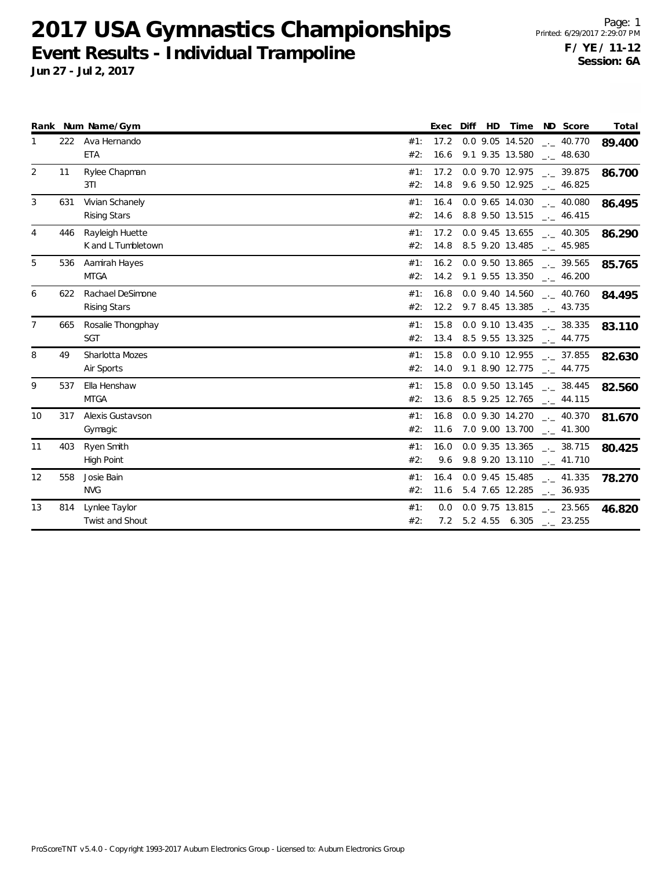**2017 USA Gymnastics Championships Event Results - Individual Trampoline**

|                |     | Rank Num Name/Gym   |     | Exec | Diff | HD | Time                 | ND Score                                             | Total  |
|----------------|-----|---------------------|-----|------|------|----|----------------------|------------------------------------------------------|--------|
| 1              |     | 222 Ava Hernando    | #1: | 17.2 |      |    | 0.0 9.05 14.520      | $\frac{1}{2}$ 40.770                                 | 89.400 |
|                |     | <b>ETA</b>          | #2: |      |      |    | 16.6 9.1 9.35 13.580 | $-$ 48.630                                           |        |
| 2              | 11  | Rylee Chapman       | #1: |      |      |    |                      | 17.2 0.0 9.70 12.975 $\qquad \qquad -2.39.875$       | 86.700 |
|                |     | 3T1                 | #2: |      |      |    |                      | 14.8 9.6 9.50 12.925 . 46.825                        |        |
| 3              | 631 | Vivian Schanely     | #1: |      |      |    |                      | $16.4$ 0.0 9.65 14.030 $\ldots$ 40.080               | 86.495 |
|                |     | <b>Rising Stars</b> | #2: |      |      |    |                      | 14.6 8.8 9.50 13.515 $\frac{1}{2}$ 46.415            |        |
| 4              | 446 | Rayleigh Huette     | #1: | 17.2 |      |    |                      | 0.0 9.45 13.655 . 40.305                             | 86.290 |
|                |     | K and L Tumbletown  | #2: |      |      |    |                      | 14.8 8.5 9.20 13.485 __ 45.985                       |        |
| 5              | 536 | Aamirah Hayes       | #1: | 16.2 |      |    | 0.0 9.50 13.865      | $\frac{1}{2}$ 39.565                                 | 85.765 |
|                |     | <b>MTGA</b>         | #2: |      |      |    |                      | 14.2 9.1 9.55 13.350 __ 46.200                       |        |
| 6              | 622 | Rachael DeSimone    | #1: |      |      |    |                      | 16.8  0.0  9.40  14.560  .  40.760                   | 84.495 |
|                |     | <b>Rising Stars</b> | #2: |      |      |    |                      | 12.2 9.7 8.45 13.385 $\qquad$ 43.735                 |        |
| $\overline{7}$ | 665 | Rosalie Thongphay   | #1: | 15.8 |      |    |                      | $0.0$ 9.10 13.435 $\_\_$ 38.335                      | 83.110 |
|                |     | <b>SGT</b>          | #2: |      |      |    |                      | 13.4 8.5 9.55 13.325 __ 44.775                       |        |
| 8              | 49  | Sharlotta Mozes     | #1: | 15.8 |      |    |                      | 0.0 9.10 12.955 $\qquad \qquad -2$ 37.855            | 82.630 |
|                |     | Air Sports          | #2: |      |      |    |                      | 14.0 9.1 8.90 12.775 $-44.775$                       |        |
| 9              | 537 | Ella Henshaw        | #1: | 15.8 |      |    |                      | $0.0$ 9.50 13.145 $\text{---}$ 38.445                | 82.560 |
|                |     | <b>MTGA</b>         | #2: |      |      |    |                      | 13.6 8.5 9.25 12.765 $\frac{1}{2}$ 44.115            |        |
| 10             | 317 | Alexis Gustavson    | #1: | 16.8 |      |    |                      | 0.0 9.30 14.270 $\qquad$ 40.370                      | 81.670 |
|                |     | Gymagic             | #2: |      |      |    |                      | 11.6 7.0 9.00 13.700 $\frac{1}{2}$ 41.300            |        |
| 11             | 403 | Ryen Smith          | #1: | 16.0 |      |    |                      | $0.0$ 9.35 13.365 __ 38.715                          | 80.425 |
|                |     | High Point          | #2: |      |      |    |                      | 9.6 9.8 9.20 13.110 $\qquad \qquad -2$ 41.710        |        |
| 12             | 558 | Josie Bain          | #1: | 16.4 |      |    |                      | $0.0$ 9.45 15.485 $_{\leftarrow}$ 41.335             | 78.270 |
|                |     | <b>NVG</b>          | #2: |      |      |    |                      | 11.6 5.4 7.65 12.285 $\qquad$ 36.935                 |        |
| 13             | 814 | Lynlee Taylor       | #1: | 0.0  |      |    |                      | $0.0$ 9.75 13.815 $\phantom{0}$ $\phantom{0}$ 23.565 | 46.820 |
|                |     | Twist and Shout     | #2: |      |      |    |                      | 7.2 5.2 4.55 6.305 $\text{---}$ 23.255               |        |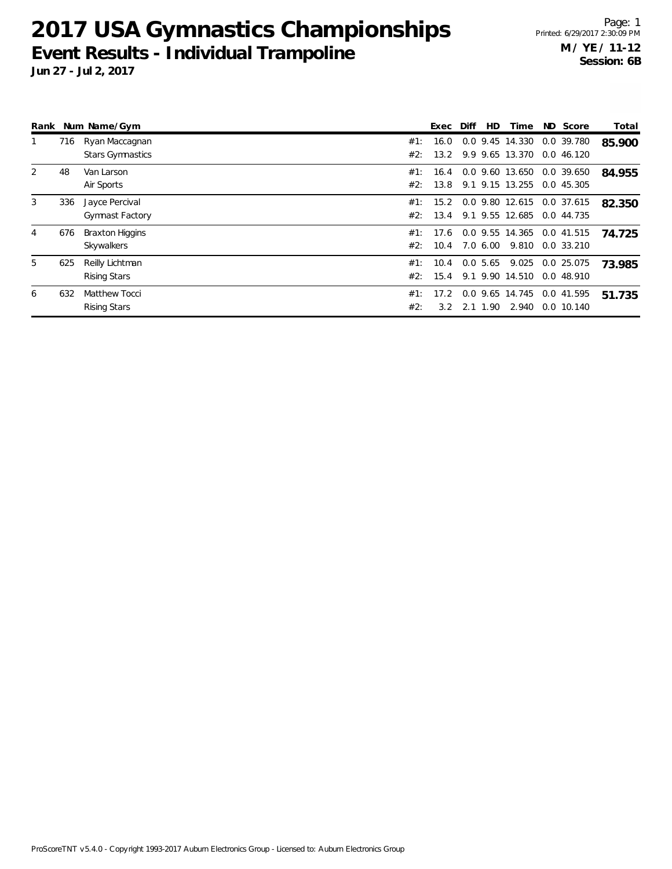# **2017 USA Gymnastics Championships Event Results - Individual Trampoline**

| Rank |     | Num Name/Gym                              |            | Exec         | Diff | <b>HD</b> | Time                               | ND Score                 | Total  |
|------|-----|-------------------------------------------|------------|--------------|------|-----------|------------------------------------|--------------------------|--------|
| 1    | 716 | Ryan Maccagnan<br><b>Stars Gymnastics</b> | #1:<br>#2: | 16.0<br>13.2 |      |           | 0.0 9.45 14.330<br>9.9 9.65 13.370 | 0.0 39.780<br>0.0 46.120 | 85.900 |
| 2    | 48  | Van Larson<br>Air Sports                  | #1:<br>#2: | 16.4<br>13.8 |      |           | 0.0 9.60 13.650<br>9.1 9.15 13.255 | 0.0 39.650<br>0.0 45.305 | 84.955 |
| 3    | 336 | Jayce Percival<br><b>Gymnast Factory</b>  | #1:<br>#2: | 15.2<br>13.4 |      |           | 0.0 9.80 12.615<br>9.1 9.55 12.685 | 0.0 37.615<br>0.0 44.735 | 82.350 |
| 4    | 676 | <b>Braxton Higgins</b><br>Skywalkers      | #1:<br>#2: | 17.6<br>10.4 |      | 7.0 6.00  | 0.0 9.55 14.365<br>9.810           | 0.0 41.515<br>0.0 33.210 | 74.725 |
| 5    | 625 | Reilly Lichtman<br><b>Rising Stars</b>    | #1:<br>#2: | 10.4<br>15.4 |      | 0.05.65   | 9.025<br>9.1 9.90 14.510           | 0.0 25.075<br>0.0 48.910 | 73.985 |
| 6    | 632 | Matthew Tocci<br><b>Rising Stars</b>      | #1:<br>#2: | 17.2<br>3.2  |      | 2.1 1.90  | 0.0 9.65 14.745<br>2.940           | 0.0 41.595<br>0.0 10.140 | 51.735 |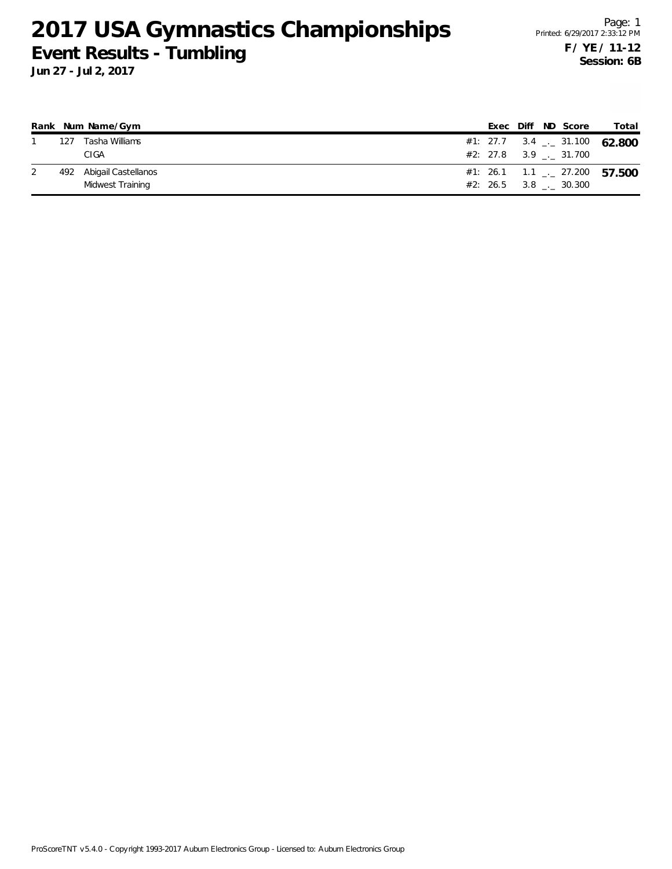### **2017 USA Gymnastics Championships Event Results - Tumbling**

|     | Rank Num Name/Gym       |  |  | Exec Diff ND Score      | Total                                    |
|-----|-------------------------|--|--|-------------------------|------------------------------------------|
| 127 | Tasha Williams          |  |  |                         | #1: 27.7 3.4 $\leq$ 31.100 62.800        |
|     | CIGA                    |  |  | $#2: 27.8$ 3.9 . 31.700 |                                          |
|     | 492 Abigail Castellanos |  |  |                         | #1: 26.1 1.1 $\frac{1}{2}$ 27.200 57.500 |
|     | Midwest Training        |  |  | $#2: 26.5$ 3.8 . 30.300 |                                          |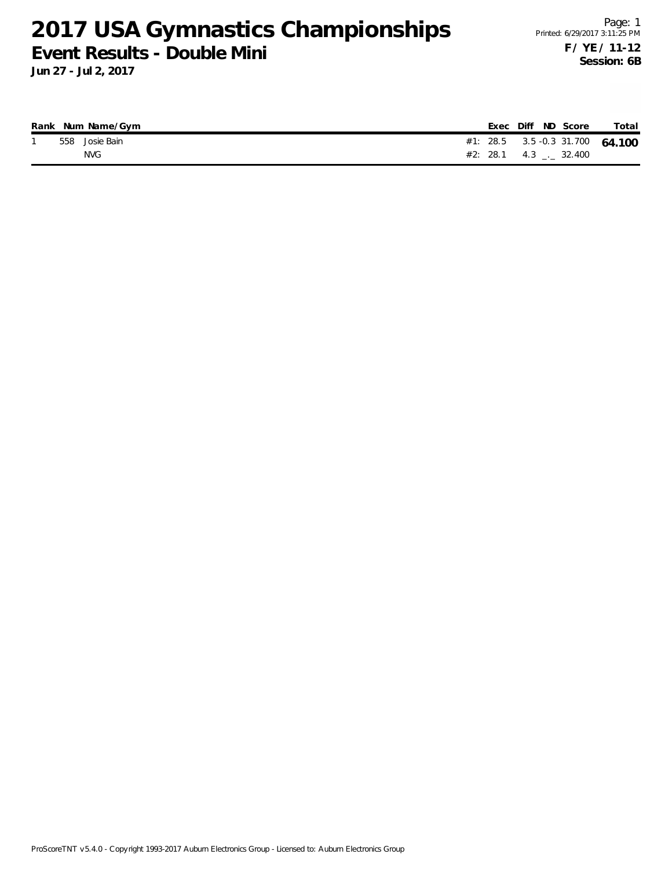#### **2017 USA Gymnastics Championships Event Results - Double Mini**

|  | Rank Num Name/Gym |  | Exec Diff ND Score      | Total                           |
|--|-------------------|--|-------------------------|---------------------------------|
|  | 558 Josie Bain    |  |                         | #1: 28.5 3.5 -0.3 31.700 64.100 |
|  | NVG.              |  | #2: 28.1 4.3 _._ 32.400 |                                 |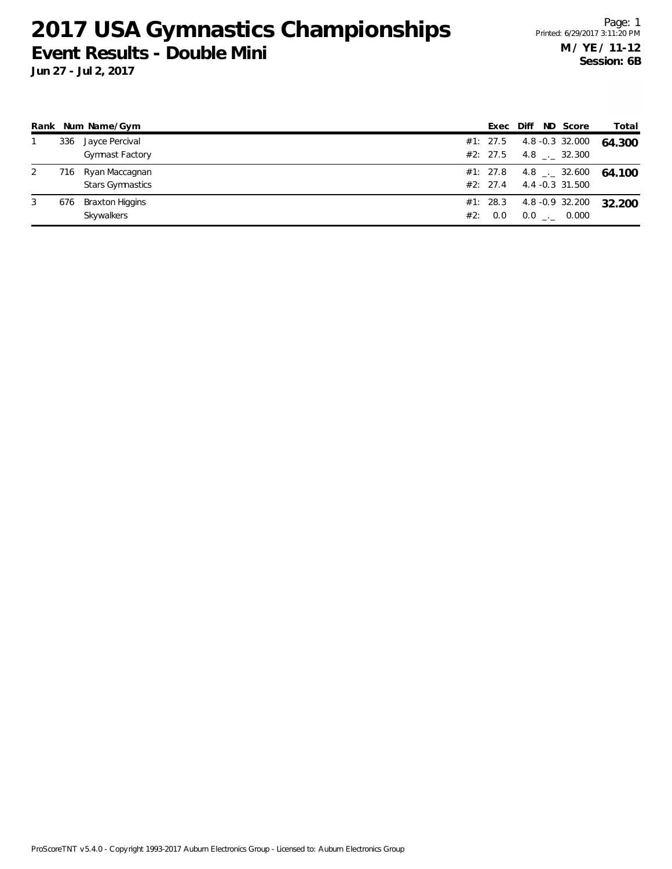### **2017 USA Gymnastics Championships Event Results - Double Mini**

|   |     | Rank Num Name/Gym                         |     | Exec                 | Diff ND Score                                   | Total  |
|---|-----|-------------------------------------------|-----|----------------------|-------------------------------------------------|--------|
|   | 336 | Jayce Percival<br><b>Gymnast Factory</b>  |     | #1: 27.5<br>#2: 27.5 | 4.8 -0.3 32.000<br>4.8 . 32.300                 | 64.300 |
|   | 716 | Ryan Maccagnan<br><b>Stars Gymnastics</b> |     | #1: 27.8<br>#2: 27.4 | $4.8$ $_{\leftarrow}$ 32.600<br>4.4 -0.3 31.500 | 64.100 |
| 3 | 676 | <b>Braxton Higgins</b><br>Skywalkers      | #2: | #1: 28.3<br>0.0      | 4.8 -0.9 32.200<br>$0.0$ _ 0.000                | 32.200 |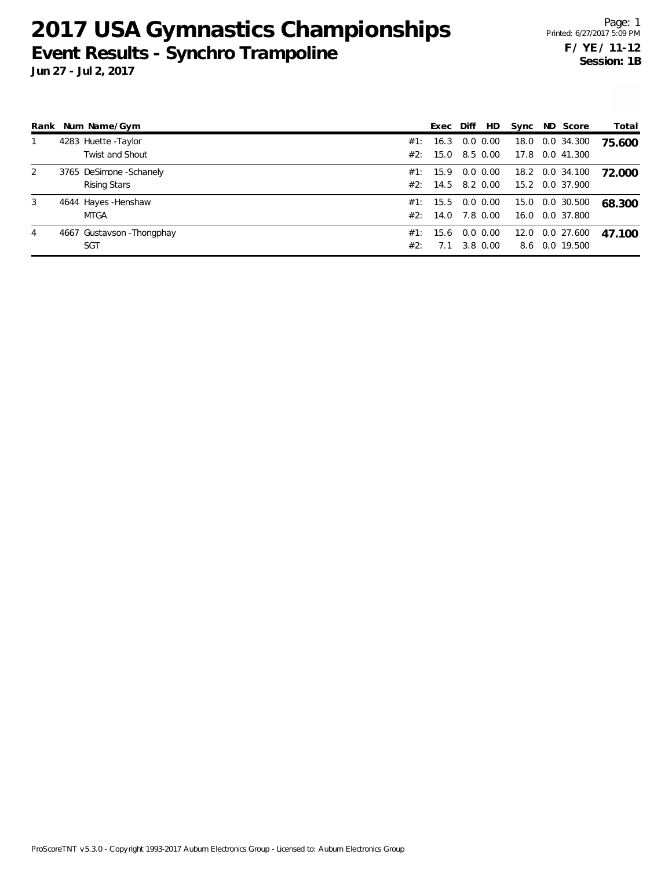### **2017 USA Gymnastics Championships Event Results - Synchro Trampoline**

**Jun 27 - Jul 2, 2017**

| Rank | Num Name/Gym               |     | Exec     | Diff     | HD          | Sync | ND Score        | Total  |
|------|----------------------------|-----|----------|----------|-------------|------|-----------------|--------|
| 1    | 4283 Huette - Taylor       | #1: | 16.3     |          | $0.0\ 0.00$ | 18.0 | 0.0 34.300      | 75.600 |
|      | Twist and Shout            |     | #2: 15.0 |          | 8.5 0.00    | 17.8 | 0.0 41.300      |        |
| 2    | 3765 DeSimone - Schanely   |     | #1: 15.9 |          | 0.0 0.00    |      | 18.2 0.0 34.100 | 72.000 |
|      | <b>Rising Stars</b>        |     | #2: 14.5 | 8.2 0.00 |             |      | 15.2 0.0 37.900 |        |
| 3    | 4644 Hayes - Henshaw       |     | #1: 15.5 |          | $0.0\,0.00$ |      | 15.0 0.0 30.500 | 68.300 |
|      | <b>MTGA</b>                | #2: | 14.0     |          | 7.8 0.00    | 16.0 | 0.0 37.800      |        |
| 4    | 4667 Gustavson - Thongphay |     | #1: 15.6 |          | $0.0\,0.00$ | 12.0 | 0.0 27.600      | 47.100 |
|      | <b>SGT</b>                 | #2: | 7.1      |          | 3.8 0.00    | 8.6  | 0.0 19.500      |        |

ProScoreTNT v5.3.0 - Copyright 1993-2017 Auburn Electronics Group - Licensed to: Auburn Electronics Group